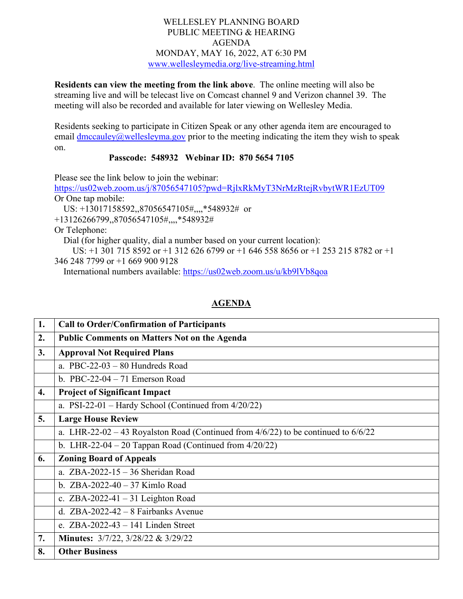## WELLESLEY PLANNING BOARD PUBLIC MEETING & HEARING AGENDA MONDAY, MAY 16, 2022, AT 6:30 PM [www.wellesleymedia.org/live-streaming.html](http://www.wellesleymedia.org/live-streaming.html)

**Residents can view the meeting from the link above**. The online meeting will also be streaming live and will be telecast live on Comcast channel 9 and Verizon channel 39. The meeting will also be recorded and available for later viewing on Wellesley Media.

Residents seeking to participate in Citizen Speak or any other agenda item are encouraged to email  $\frac{dmcauley}{a}$  wellesleyma.gov prior to the meeting indicating the item they wish to speak on.

## **Passcode: 548932 Webinar ID: 870 5654 7105**

Please see the link below to join the webinar:

<https://us02web.zoom.us/j/87056547105?pwd=RjlxRkMyT3NrMzRtejRvbytWR1EzUT09> Or One tap mobile: US: +13017158592,,87056547105#,,,,\*548932# or

+13126266799,,87056547105#,,,,\*548932#

Or Telephone:

Dial (for higher quality, dial a number based on your current location):

 US: +1 301 715 8592 or +1 312 626 6799 or +1 646 558 8656 or +1 253 215 8782 or +1 346 248 7799 or +1 669 900 9128

International numbers available:<https://us02web.zoom.us/u/kb9lVb8qoa>

## **AGENDA**

| 1. | <b>Call to Order/Confirmation of Participants</b>                                       |  |  |
|----|-----------------------------------------------------------------------------------------|--|--|
| 2. | <b>Public Comments on Matters Not on the Agenda</b>                                     |  |  |
| 3. | <b>Approval Not Required Plans</b>                                                      |  |  |
|    | a. PBC-22-03 $-$ 80 Hundreds Road                                                       |  |  |
|    | b. PBC-22-04 $-71$ Emerson Road                                                         |  |  |
| 4. | <b>Project of Significant Impact</b>                                                    |  |  |
|    | a. PSI-22-01 – Hardy School (Continued from $4/20/22$ )                                 |  |  |
| 5. | <b>Large House Review</b>                                                               |  |  |
|    | a. LHR-22-02 – 43 Royalston Road (Continued from $4/6/22$ ) to be continued to $6/6/22$ |  |  |
|    | b. LHR-22-04 – 20 Tappan Road (Continued from $4/20/22$ )                               |  |  |
| 6. | <b>Zoning Board of Appeals</b>                                                          |  |  |
|    | a. $ZBA-2022-15-36$ Sheridan Road                                                       |  |  |
|    | b. $ZBA-2022-40-37$ Kimlo Road                                                          |  |  |
|    | c. ZBA-2022-41 $-31$ Leighton Road                                                      |  |  |
|    | d. $ZBA-2022-42-8$ Fairbanks Avenue                                                     |  |  |
|    | e. $ZBA-2022-43-141$ Linden Street                                                      |  |  |
| 7. | <b>Minutes:</b> $3/7/22$ , $3/28/22$ & $3/29/22$                                        |  |  |
| 8. | <b>Other Business</b>                                                                   |  |  |